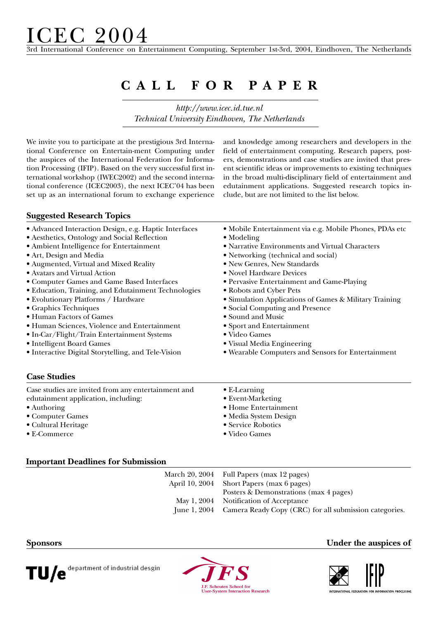3rd International Conference on Entertainment Computing, September 1st-3rd, 2004, Eindhoven, The Netherlands

## **C A L L F O R P A P E R**

*http://www.icec.id.tue.nl Technical University Eindhoven, The Netherlands*

We invite you to participate at the prestigious 3rd International Conference on Entertain-ment Computing under the auspices of the International Federation for Information Processing (IFIP). Based on the very successful first international workshop (IWEC2002) and the second international conference (ICEC2003), the next ICEC'04 has been set up as an international forum to exchange experience

and knowledge among researchers and developers in the field of entertainment computing. Research papers, posters, demonstrations and case studies are invited that present scientific ideas or improvements to existing techniques in the broad multi-disciplinary field of entertainment and edutainment applications. Suggested research topics include, but are not limited to the list below.

### **Suggested Research Topics**

| · Advanced Interaction Design, e.g. Haptic Interfaces | · Mobile Entertainment via e.g. Mobile Phones, PDAs etc |
|-------------------------------------------------------|---------------------------------------------------------|
| • Aesthetics, Ontology and Social Reflection          | $\bullet$ Modeling                                      |
| • Ambient Intelligence for Entertainment              | • Narrative Environments and Virtual Characters         |
| • Art, Design and Media                               | • Networking (technical and social)                     |
| · Augmented, Virtual and Mixed Reality                | • New Genres, New Standards                             |
| • Avatars and Virtual Action                          | · Novel Hardware Devices                                |
| • Computer Games and Game Based Interfaces            | • Pervasive Entertainment and Game-Playing              |
| · Education, Training, and Edutainment Technologies   | • Robots and Cyber Pets                                 |
| • Evolutionary Platforms / Hardware                   | • Simulation Applications of Games & Military Training  |
| • Graphics Techniques                                 | · Social Computing and Presence                         |
| • Human Factors of Games                              | • Sound and Music                                       |
| · Human Sciences, Violence and Entertainment          | • Sport and Entertainment                               |
| • In-Car/Flight/Train Entertainment Systems           | • Video Games                                           |
| · Intelligent Board Games                             | · Visual Media Engineering                              |
| • Interactive Digital Storytelling, and Tele-Vision   | . Wearable Computers and Sensors for Entertainment      |
| <b>Case Studies</b>                                   |                                                         |
| Case studies are invited from any entertainment and   | $\bullet$ E-Learning                                    |
| edutainment application, including:                   | • Event-Marketing                                       |
| $\bullet$ Authoring                                   | • Home Entertainment                                    |
| • Computer Games                                      | · Media System Design                                   |
| · Cultural Heritage                                   | • Service Robotics                                      |
| $\bullet$ E-Commerce                                  | • Video Games                                           |

### **Important Deadlines for Submission**

| March 20, 2004 Full Papers (max 12 pages)                           |
|---------------------------------------------------------------------|
| April 10, 2004 Short Papers (max 6 pages)                           |
| Posters & Demonstrations (max 4 pages)                              |
| May 1, 2004 Notification of Acceptance                              |
| June 1, 2004 Camera Ready Copy (CRC) for all submission categories. |

TU/e department of industrial desgin



### **Sponsors Under the auspices of**